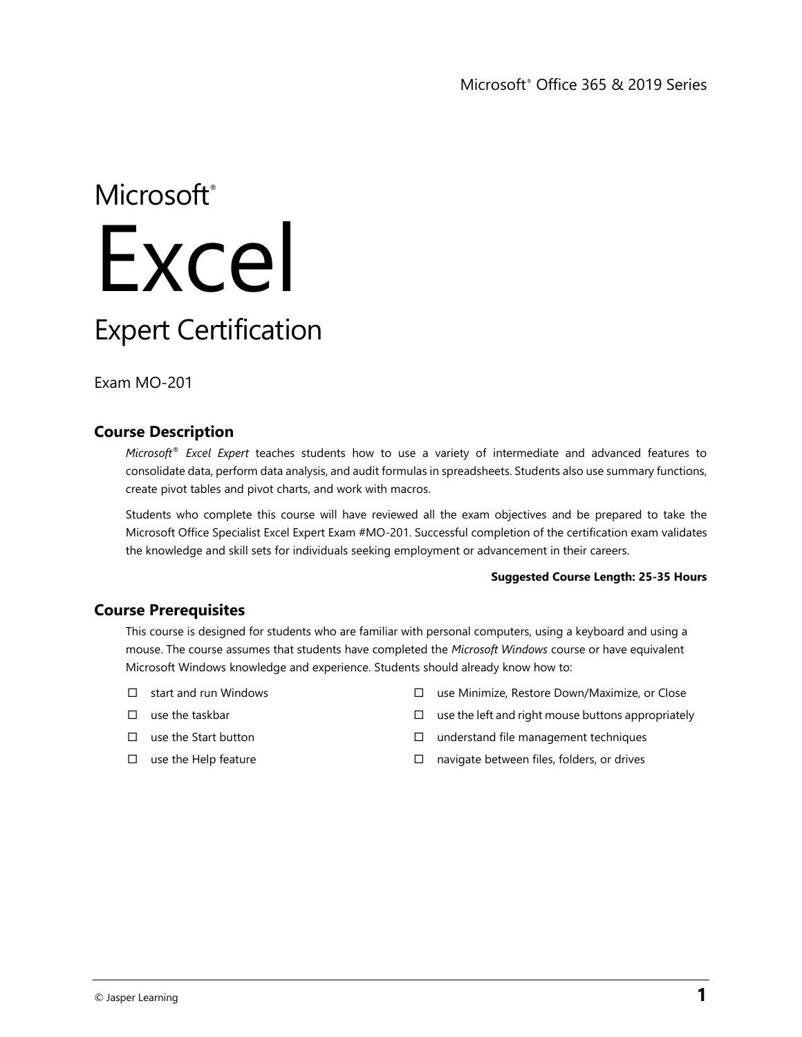# Microsoft<sup>®</sup> Excel Expert Certification

Exam MO-201

# **Course Description**

*Microsoft® Excel Expert* teaches students how to use a variety of intermediate and advanced features to consolidate data, perform data analysis, and audit formulas in spreadsheets. Students also use summary functions, create pivot tables and pivot charts, and work with macros.

Students who complete this course will have reviewed all the exam objectives and be prepared to take the Microsoft Office Specialist Excel Expert Exam #MO-201. Successful completion of the certification exam validates the knowledge and skill sets for individuals seeking employment or advancement in their careers.

### **Suggested Course Length: 25-35 Hours**

## **Course Prerequisites**

This course is designed for students who are familiar with personal computers, using a keyboard and using a mouse. The course assumes that students have completed the *Microsoft Windows* course or have equivalent Microsoft Windows knowledge and experience. Students should already know how to:

- $\Box$  start and run Windows
- $\square$  use the taskbar
- $\square$  use the Start button
- $\square$  use the Help feature
- use Minimize, Restore Down/Maximize, or Close
- $\Box$  use the left and right mouse buttons appropriately
- $\square$  understand file management techniques
- $\Box$  navigate between files, folders, or drives